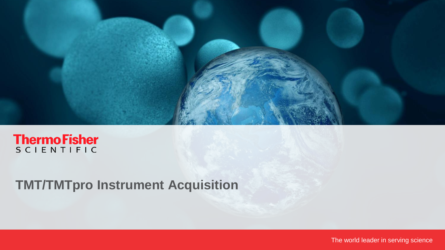

# **ThermoFisher**

# **TMT/TMTpro Instrument Acquisition**

The world leader in serving science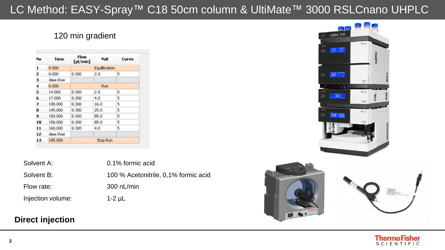### LC Method: EASY-Spray™ C18 50cm column & UltiMate™ 3000 RSLCnano UHPLC

#### 120 min gradient

| No | Time    | Flow<br>[pl/min] | %B            | Curve |
|----|---------|------------------|---------------|-------|
| 1  | 0.000   |                  | Equilibration |       |
| z  | 0.000   | 0.300            | 2.0           | 5     |
| з  | New Row |                  |               |       |
| 4  | 0.000   |                  | Run           |       |
| 5  | 14.000  | 0.300            | 2.0           | 5     |
| 6  | 17,000  | 0.300            | 4.0           | \$    |
| 7  | 100.000 | 0.300            | 16.0          | 5     |
| 8  | 145,000 | 0.300            | 25.0          | 5     |
| 9. | 150,000 | 0.300            | 85.0          | 5     |
| 10 | 158,000 | 0.300            | 85.0          | \$    |
| 11 | 160,000 | 0.300            | 4.0           | 5     |
| 12 | New Row |                  |               |       |
| 13 | 185,000 |                  | Stop Run      |       |

| Solvent A: |  |
|------------|--|
| Solvent B: |  |
| Flow rate: |  |

0.1% formic acid 100 % Acetonitrile, 0,1% formic acid  $300$  nL/min Injection volume: 1-2 µL

#### **Direct injection**





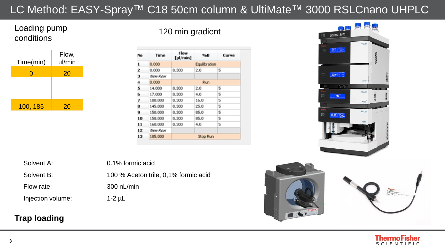## LC Method: EASY-Spray™ C18 50cm column & UltiMate™ 3000 RSLCnano UHPLC

#### Loading pump conditions



120 min gradient

| No  | Time        | Flow<br>[µl/min] | %B            | Curve |
|-----|-------------|------------------|---------------|-------|
| 1   | 0.000       |                  | Equilibration |       |
| z   | 0.000       | 0.300            | 2.0           | s     |
| 3   | New Row     |                  |               |       |
| 4   | 0.000       |                  | Run           |       |
| S   | 14.000      | 0.300            | 2.0           | 5     |
| 6   | 17.000      | 0.300            | 4.0           | 5     |
| 7   | 100,000     | 0.300            | 16.0          | 5     |
| 8   | 145,000     | 0.300            | 25.0          | 5     |
| 9   | 150,000     | 0.300            | 85.0          | 5     |
| 10  | 158,000     | 0.300            | 85.0          | 5     |
| 11  | 160,000     | 0.300            | 4.0           | 5     |
| 12  | Mexic Rover |                  |               |       |
| 13, | 185,000     |                  | Stop Run      |       |

UltiMate 3000 三 第 强  $\equiv$  40.0  $\mathbb{K}\backslash\mathbb{C}$  $\overline{\phantom{214}}$ R-A8 10.00



Solvent A: 0.1% formic acid

Solvent B: 100 % Acetonitrile, 0,1% formic acid Flow rate: 300 nL/min

Injection volume: 1-2 µL

#### **Trap loading**



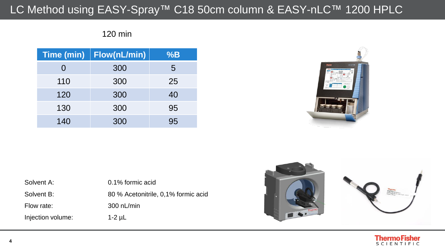## LC Method using EASY-Spray™ C18 50cm column & EASY-nLC™ 1200 HPLC

#### 120 min

| <b>Time (min)</b> | Flow(nL/min) | %B |
|-------------------|--------------|----|
| 0                 | 300          | 5  |
| 110               | 300          | 25 |
| 120               | 300          | 40 |
| 130               | 300          | 95 |
| 140               | 300          | 95 |



| Solvent A:        | 0.1% formic acid                    |
|-------------------|-------------------------------------|
| Solvent B:        | 80 % Acetonitrile, 0,1% formic acid |
| Flow rate:        | $300$ nL/min                        |
| Injection volume: | $1-2$ $\mu$                         |



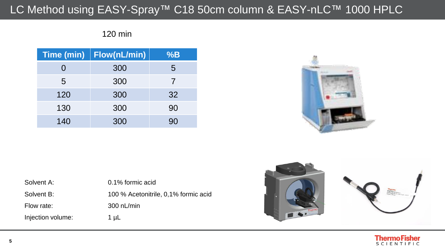## LC Method using EASY-Spray™ C18 50cm column & EASY-nLC™ 1000 HPLC

#### 120 min

| <b>Time (min)</b> | Flow(nL/min) | %B |
|-------------------|--------------|----|
|                   | 300          | 5  |
| 5                 | 300          | 7  |
| 120               | 300          | 32 |
| 130               | 300          | 90 |
| 140               | 300          | 90 |



| Solvent A:        | 0.1% formic acid                     |
|-------------------|--------------------------------------|
| Solvent B:        | 100 % Acetonitrile, 0,1% formic acid |
| Flow rate:        | $300$ nL/min                         |
| Injection volume: | 1 $\mu$ L                            |



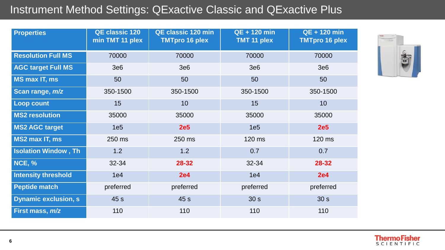#### Instrument Method Settings: QExactive Classic and QExactive Plus

| <b>Properties</b>           | <b>QE classic 120</b><br>min TMT 11 plex | <b>QE classic 120 min</b><br><b>TMTpro 16 plex</b> | <b>QE + 120 min</b><br><b>TMT 11 plex</b> | <b>QE + 120 min</b><br><b>TMTpro 16 plex</b> |
|-----------------------------|------------------------------------------|----------------------------------------------------|-------------------------------------------|----------------------------------------------|
| <b>Resolution Full MS</b>   | 70000                                    | 70000                                              | 70000                                     | 70000                                        |
| <b>AGC target Full MS</b>   | 3e6                                      | 3e6                                                | 3e6                                       | 3e6                                          |
| <b>MS max IT, ms</b>        | 50                                       | 50                                                 | 50                                        | 50                                           |
| Scan range, m/z             | 350-1500                                 | 350-1500                                           | 350-1500                                  | 350-1500                                     |
| <b>Loop count</b>           | 15                                       | 10 <sup>°</sup>                                    | 15                                        | 10 <sup>°</sup>                              |
| <b>MS2 resolution</b>       | 35000                                    | 35000                                              | 35000                                     | 35000                                        |
| <b>MS2 AGC target</b>       | 1e <sub>5</sub>                          | <b>2e5</b>                                         | 1e <sub>5</sub>                           | <b>2e5</b>                                   |
| <b>MS2 max IT, ms</b>       | 250 ms                                   | 250 ms                                             | 120 ms                                    | 120 ms                                       |
| <b>Isolation Window, Th</b> | 1.2                                      | 1.2                                                | 0.7                                       | 0.7                                          |
| <b>NCE, %</b>               | 32-34                                    | 28-32                                              | 32-34                                     | 28-32                                        |
| <b>Intensity threshold</b>  | 1e4                                      | <b>2e4</b>                                         | 1e4                                       | <b>2e4</b>                                   |
| <b>Peptide match</b>        | preferred                                | preferred                                          | preferred                                 | preferred                                    |
| <b>Dynamic exclusion, s</b> | 45 s                                     | 45 s                                               | 30 <sub>s</sub>                           | 30 <sub>s</sub>                              |
| First mass, <i>m/z</i>      | 110                                      | 110                                                | 110                                       | 110                                          |

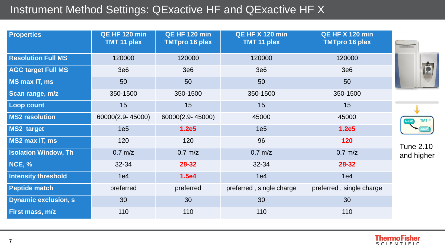# Instrument Method Settings: QExactive HF and QExactive HF X

| <b>Properties</b>           | <b>QE HF 120 min</b><br>TMT 11 plex | <b>QE HF 120 min</b><br><b>TMTpro 16 plex</b> | <b>QE HF X 120 min</b><br>TMT 11 plex | <b>QE HF X 120 min</b><br><b>TMTpro 16 plex</b> |                  |
|-----------------------------|-------------------------------------|-----------------------------------------------|---------------------------------------|-------------------------------------------------|------------------|
| <b>Resolution Full MS</b>   | 120000                              | 120000                                        | 120000                                | 120000                                          |                  |
| <b>AGC target Full MS</b>   | 3e6                                 | 3e6                                           | 3e6                                   | 3e6                                             | É                |
| MS max IT, ms               | 50                                  | 50                                            | 50                                    | 50                                              |                  |
| Scan range, m/z             | 350-1500                            | 350-1500                                      | 350-1500                              | 350-1500                                        |                  |
| <b>Loop count</b>           | 15                                  | 15                                            | 15                                    | 15                                              |                  |
| <b>MS2 resolution</b>       | 60000(2.9-45000)                    | 60000(2.9-45000)                              | 45000                                 | 45000                                           | TMT™             |
| <b>MS2 target</b>           | 1e <sub>5</sub>                     | 1.2e5                                         | 1e <sub>5</sub>                       | 1.2e5                                           |                  |
| MS2 max IT, ms              | 120                                 | 120                                           | 96                                    | 120                                             | <b>Tune 2.10</b> |
| <b>Isolation Window, Th</b> | $0.7$ m/z                           | $0.7$ m/z                                     | $0.7$ m/z                             | $0.7$ m/z                                       | and higher       |
| <b>NCE, %</b>               | 32-34                               | 28-32                                         | 32-34                                 | 28-32                                           |                  |
| <b>Intensity threshold</b>  | 1e4                                 | 1.5e4                                         | 1e4                                   | 1e4                                             |                  |
| <b>Peptide match</b>        | preferred                           | preferred                                     | preferred, single charge              | preferred, single charge                        |                  |
| <b>Dynamic exclusion, s</b> | 30                                  | 30                                            | 30                                    | 30                                              |                  |
| First mass, m/z             | 110                                 | 110                                           | 110                                   | 110                                             |                  |

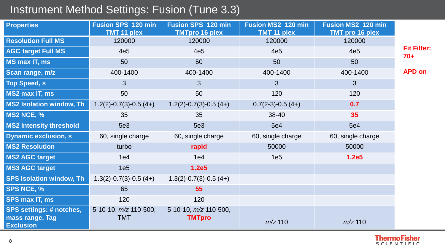# Instrument Method Settings: Fusion (Tune 3.3)

| <b>Properties</b>                   | <b>Fusion SPS 120 min</b><br><b>TMT 11 plex</b> | <b>Fusion SPS 120 min</b><br><b>TMTpro 16 plex</b> | <b>Fusion MS2 120 min</b><br><b>TMT 11 plex</b> | <b>Fusion MS2 120 min</b><br><b>TMT pro 16 plex</b> |                             |
|-------------------------------------|-------------------------------------------------|----------------------------------------------------|-------------------------------------------------|-----------------------------------------------------|-----------------------------|
| <b>Resolution Full MS</b>           | 120000                                          | 120000                                             | 120000                                          | 120000                                              |                             |
| <b>AGC target Full MS</b>           | 4e <sub>5</sub>                                 | 4e <sub>5</sub>                                    | 4e <sub>5</sub>                                 | 4e <sub>5</sub>                                     | <b>Fit Filter:</b><br>$70+$ |
| <b>MS max IT, ms</b>                | 50                                              | 50                                                 | 50                                              | 50                                                  |                             |
| Scan range, m/z                     | 400-1400                                        | 400-1400                                           | 400-1400                                        | 400-1400                                            | <b>APD on</b>               |
| <b>Top Speed, s</b>                 | 3                                               | 3                                                  | 3                                               | $\mathfrak{B}$                                      |                             |
| MS2 max IT, ms                      | 50                                              | 50                                                 | 120                                             | 120                                                 |                             |
| <b>MS2 Isolation window, Th</b>     | $1.2(2)-0.7(3)-0.5(4+)$                         | $1.2(2)-0.7(3)-0.5(4+)$                            | $0.7(2-3)-0.5(4+)$                              | 0.7                                                 |                             |
| <b>MS2 NCE, %</b>                   | 35                                              | 35                                                 | 38-40                                           | 35                                                  |                             |
| <b>MS2 Intensity threshold</b>      | 5e3                                             | 5e3                                                | <b>5e4</b>                                      | <b>5e4</b>                                          |                             |
| <b>Dynamic exclusion, s</b>         | 60, single charge                               | 60, single charge                                  | 60, single charge                               | 60, single charge                                   |                             |
| <b>MS2 Resolution</b>               | turbo                                           | rapid                                              | 50000                                           | 50000                                               |                             |
| <b>MS2 AGC target</b>               | 1e4                                             | 1e4                                                | 1e <sub>5</sub>                                 | 1.2e5                                               |                             |
| <b>MS3 AGC target</b>               | 1e <sub>5</sub>                                 | 1.2e5                                              |                                                 |                                                     |                             |
| <b>SPS Isolation window, Th</b>     | $1.3(2)-0.7(3)-0.5(4+)$                         | $1.3(2)-0.7(3)-0.5(4+)$                            |                                                 |                                                     |                             |
| <b>SPS NCE, %</b>                   | 65                                              | 55                                                 |                                                 |                                                     |                             |
| <b>SPS max IT, ms</b>               | 120                                             | 120                                                |                                                 |                                                     |                             |
| <b>SPS settings: # notches,</b>     | 5-10-10, $m/z$ 110-500,                         | 5-10-10, $m/z$ 110-500,                            |                                                 |                                                     |                             |
| mass range, Tag<br><b>Exclusion</b> | <b>TMT</b>                                      | <b>TMTpro</b>                                      | $m/z$ 110                                       | $m/z$ 110                                           |                             |



۰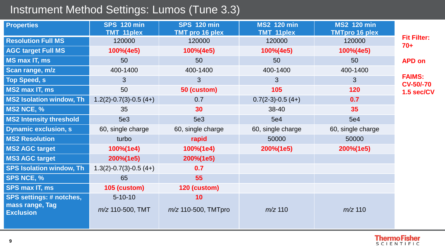## Instrument Method Settings: Lumos (Tune 3.3)

| <b>Properties</b>                                                      | <b>SPS 120 min</b><br><b>TMT 11plex</b> | <b>SPS 120 min</b><br><b>TMT pro 16 plex</b> | <b>MS2 120 min</b><br><b>TMT 11plex</b> | <b>MS2 120 min</b><br><b>TMTpro 16 plex</b> |                                   |
|------------------------------------------------------------------------|-----------------------------------------|----------------------------------------------|-----------------------------------------|---------------------------------------------|-----------------------------------|
| <b>Resolution Full MS</b>                                              | 120000                                  | 120000                                       | 120000                                  | 120000                                      | <b>Fit Filter:</b><br>$70+$       |
| <b>AGC target Full MS</b>                                              | 100%(4e5)                               | 100%(4e5)                                    | 100%(4e5)                               | 100%(4e5)                                   |                                   |
| <b>MS max IT, ms</b>                                                   | 50                                      | 50                                           | 50                                      | 50                                          | <b>APD on</b>                     |
| Scan range, m/z                                                        | 400-1400                                | 400-1400                                     | 400-1400                                | 400-1400                                    |                                   |
| <b>Top Speed, s</b>                                                    | $\mathbf{3}$                            | 3 <sup>5</sup>                               | 3                                       | $\mathbf{3}$                                | <b>FAIMS:</b><br><b>CV-50/-70</b> |
| MS2 max IT, ms                                                         | 50                                      | 50 (custom)                                  | 105                                     | 120                                         | 1.5 sec/CV                        |
| <b>MS2 Isolation window, Th</b>                                        | $1.2(2)-0.7(3)-0.5(4+)$                 | 0.7                                          | $0.7(2-3)-0.5(4+)$                      | 0.7                                         |                                   |
| <b>MS2 NCE, %</b>                                                      | 35                                      | 30                                           | 38-40                                   | 35                                          |                                   |
| <b>MS2 Intensity threshold</b>                                         | 5e3                                     | 5e3                                          | <b>5e4</b>                              | <b>5e4</b>                                  |                                   |
| <b>Dynamic exclusion, s</b>                                            | 60, single charge                       | 60, single charge                            | 60, single charge                       | 60, single charge                           |                                   |
| <b>MS2 Resolution</b>                                                  | turbo                                   | rapid                                        | 50000                                   | 50000                                       |                                   |
| <b>MS2 AGC target</b>                                                  | 100%(1e4)                               | 100%(1e4)                                    | 200%(1e5)                               | 200%(1e5)                                   |                                   |
| <b>MS3 AGC target</b>                                                  | 200%(1e5)                               | 200%(1e5)                                    |                                         |                                             |                                   |
| <b>SPS Isolation window, Th</b>                                        | $1.3(2)-0.7(3)-0.5(4+)$                 | 0.7                                          |                                         |                                             |                                   |
| <b>SPS NCE, %</b>                                                      | 65                                      | 55                                           |                                         |                                             |                                   |
| <b>SPS max IT, ms</b>                                                  | 105 (custom)                            | 120 (custom)                                 |                                         |                                             |                                   |
| <b>SPS settings: # notches,</b><br>mass range, Tag<br><b>Exclusion</b> | $5 - 10 - 10$<br>$m/z$ 110-500, TMT     | 10<br>$m/z$ 110-500, TMTpro                  | $m/z$ 110                               | $m/z$ 110                                   |                                   |

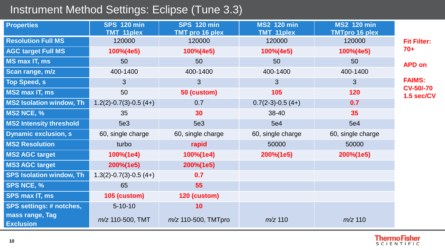## Instrument Method Settings: Eclipse (Tune 3.3)

| <b>Properties</b>                   | <b>SPS 120 min</b><br><b>TMT 11plex</b> | <b>SPS 120 min</b><br><b>TMT pro 16 plex</b> | <b>MS2 120 min</b><br><b>TMT 11plex</b> | <b>MS2 120 min</b><br><b>TMTpro 16 plex</b> |                                |
|-------------------------------------|-----------------------------------------|----------------------------------------------|-----------------------------------------|---------------------------------------------|--------------------------------|
| <b>Resolution Full MS</b>           | 120000                                  | 120000                                       | 120000                                  | 120000                                      | <b>Fit Filter:</b>             |
| <b>AGC target Full MS</b>           | 100%(4e5)                               | 100%(4e5)                                    | 100%(4e5)                               | 100%(4e5)                                   | $70+$                          |
| MS max IT, ms                       | 50                                      | 50                                           | 50                                      | 50                                          | <b>APD on</b>                  |
| Scan range, m/z                     | 400-1400                                | 400-1400                                     | 400-1400                                | 400-1400                                    |                                |
| <b>Top Speed, s</b>                 | 3                                       | 3                                            | 3                                       | 3                                           | <b>FAIMS:</b>                  |
| MS2 max IT, ms                      | 50                                      | 50 (custom)                                  | 105                                     | 120                                         | <b>CV-50/-70</b><br>1.5 sec/CV |
| <b>MS2 Isolation window, Th</b>     | $1.2(2)-0.7(3)-0.5(4+)$                 | 0.7                                          | $0.7(2-3)-0.5(4+)$                      | 0.7                                         |                                |
| <b>MS2 NCE, %</b>                   | 35                                      | 30                                           | 38-40                                   | 35                                          |                                |
| <b>MS2 Intensity threshold</b>      | 5e3                                     | 5e3                                          | 5e4                                     | 5e4                                         |                                |
| <b>Dynamic exclusion, s</b>         | 60, single charge                       | 60, single charge                            | 60, single charge                       | 60, single charge                           |                                |
| <b>MS2 Resolution</b>               | turbo                                   | rapid                                        | 50000                                   | 50000                                       |                                |
| <b>MS2 AGC target</b>               | 100%(1e4)                               | 100%(1e4)                                    | 200%(1e5)                               | 200%(1e5)                                   |                                |
| <b>MS3 AGC target</b>               | 200%(1e5)                               | 200%(1e5)                                    |                                         |                                             |                                |
| <b>SPS Isolation window, Th</b>     | $1.3(2)-0.7(3)-0.5(4+)$                 | 0.7                                          |                                         |                                             |                                |
| <b>SPS NCE, %</b>                   | 65                                      | 55                                           |                                         |                                             |                                |
| <b>SPS max IT, ms</b>               | 105 (custom)                            | 120 (custom)                                 |                                         |                                             |                                |
| <b>SPS settings: # notches,</b>     | $5 - 10 - 10$                           | 10                                           |                                         |                                             |                                |
| mass range, Tag<br><b>Exclusion</b> | $m/z$ 110-500, TMT                      | $m/z$ 110-500, TMTpro                        | $m/z$ 110                               | $m/z$ 110                                   |                                |

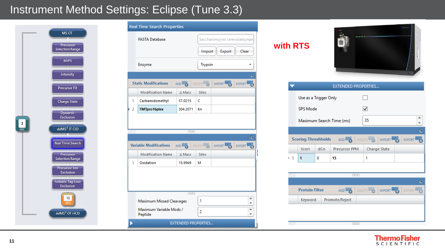#### Instrument Method Settings: Eclipse (Tune 3.3)



|        | <b>Real Time Search Properties</b> |                                      |                                             |                  |        |
|--------|------------------------------------|--------------------------------------|---------------------------------------------|------------------|--------|
|        | <b>FASTA Database</b><br>Enzyme    |                                      | Saccharomyces cerevisiaesynpe               |                  |        |
|        |                                    |                                      | Export<br>Clear<br>Import<br><b>Trypsin</b> |                  |        |
|        |                                    |                                      |                                             |                  |        |
|        |                                    |                                      |                                             |                  | 呾      |
|        | <b>Static Modifications</b>        | ADD <sub>2</sub> DELETE <sup>2</sup> |                                             | IMPORT BY EXPORT |        |
|        | <b>Modification Name</b>           | $\triangle$ Mass                     | <b>Sites</b>                                |                  |        |
| 1      | Carbamidomethyl                    | 57.0215                              | C                                           |                  |        |
|        |                                    |                                      |                                             |                  |        |
|        | <b>TMTpro16plex</b>                | 304.2071<br>000                      | Kn                                          |                  |        |
|        | <b>Variable Modifications</b>      |                                      | <b>DELETE</b>                               | IMPORT BEXPORT   |        |
|        | <b>Modification Name</b>           | ADD TO<br>$\triangle$ Mass           | <b>Sites</b>                                |                  | 呾      |
|        | Oxidation                          | 15.9949                              | м                                           |                  |        |
|        | Maximum Missed Cleavages           | 000                                  | 1                                           |                  | ۸<br>٠ |
| 2<br>1 | Maximum Variable Mods /<br>Peptide |                                      | 2                                           |                  | A<br>٠ |



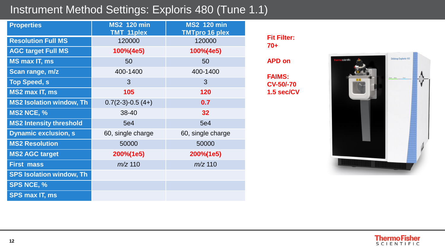## Instrument Method Settings: Exploris 480 (Tune 1.1)

| <b>Properties</b>               | <b>MS2 120 min</b> | <b>MS2 120 min</b>    |  |
|---------------------------------|--------------------|-----------------------|--|
|                                 | <b>TMT 11plex</b>  | <b>TMTpro 16 plex</b> |  |
| <b>Resolution Full MS</b>       | 120000             | 120000                |  |
| <b>AGC target Full MS</b>       | 100%(4e5)          | 100%(4e5)             |  |
| <b>MS max IT, ms</b>            | 50                 | 50                    |  |
| Scan range, m/z                 | 400-1400           | 400-1400              |  |
| <b>Top Speed, s</b>             | 3                  | 3                     |  |
| <b>MS2 max IT, ms</b>           | 105                | 120                   |  |
| <b>MS2 Isolation window, Th</b> | $0.7(2-3)-0.5(4+)$ | 0.7                   |  |
| <b>MS2 NCE, %</b>               | 38-40              | 32                    |  |
| <b>MS2 Intensity threshold</b>  | 5e4                | <b>5e4</b>            |  |
| <b>Dynamic exclusion, s</b>     | 60, single charge  | 60, single charge     |  |
| <b>MS2 Resolution</b>           | 50000              | 50000                 |  |
| <b>MS2 AGC target</b>           | 200%(1e5)          | 200%(1e5)             |  |
| <b>First mass</b>               | $m/z$ 110          | $m/z$ 110             |  |
| <b>SPS Isolation window, Th</b> |                    |                       |  |
| <b>SPS NCE, %</b>               |                    |                       |  |
| <b>SPS max IT, ms</b>           |                    |                       |  |

**Fit Filter: 70+**

**APD on**

**FAIMS: CV-50/-70 1.5 sec/CV**